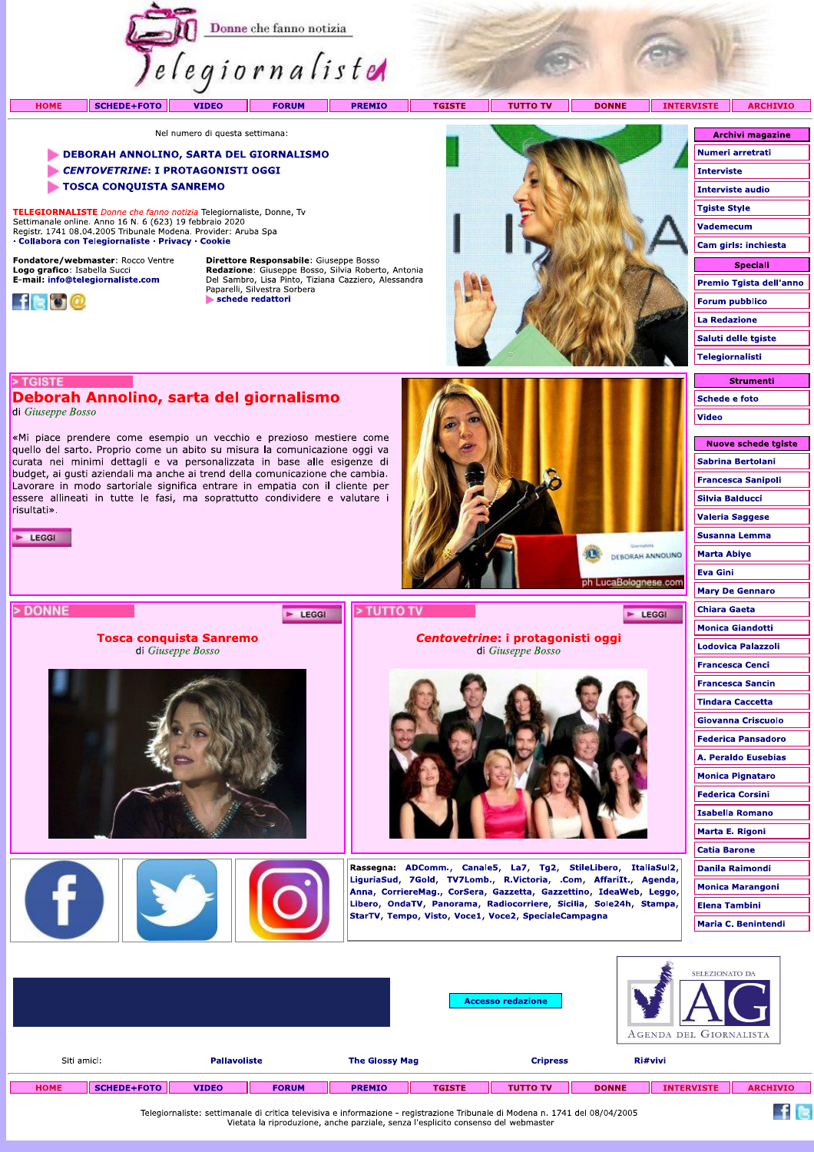

- CENTOVETRINE: I PROTAGONISTI OGGI
- TOSCA CONQUISTA SANREMO

TELEGIORNALISTE Donne che fanno notizia Telegiornaliste, Donne, Tv Settimanale online. Anno 16 N. 6 (623) 19 febbraio 2020<br>Registr. 1741 08.04.2005 Tribunale Modena. Provider: Aruba Spa · Collabora con Telegiornaliste · Privacy · Cookie

Fondatore/webmaster: Rocco Ventre Logo grafico: Isabella Succi<br>E-mail: info@telegiornaliste.com



Direttore Responsabile: Giuseppe Bosso **Redazione:** Giuseppe Bosso, Silvia Roberto, Antonia<br>Del Sambro, Lisa Pinto, Tiziana Cazziero, Alessandra<br>Paparelli, Silvestra Sorbera schede redattori

E LEGGI



| <b>Archivi magazine</b> |
|-------------------------|
| Numeri arretrati        |
| Interviste              |
| Interviste audio        |
| <b>Tgiste Style</b>     |
| <b>Vademecum</b>        |
| Cam girls: inchiesta    |
| Speciali                |
| Premio Tgista dell'anno |
| <b>Forum pubblico</b>   |
| La Redazione            |
| Saluti delle tgiste     |
| Telegiornalisti         |
|                         |

**Schede e foto** 

Sabrina Bertolani

Nuove schede tgiste

Video

# Deborah Annolino, sarta del giornalismo di Giuseppe Bosso

> TGISTE

«Mi piace prendere come esempio un vecchio e prezioso mestiere come quello del sarto. Proprio come un abito su misura la comunicazione oggi va curata nei minimi dettagli e va personalizzata in base alle esigenze di budget, ai qusti aziendali ma anche ai trend della comunicazione che cambia. Lavorare in modo sartoriale significa entrare in empatia con il cliente per essere allineati in tutte le fasi, ma soprattutto condividere e valutare i risultati».

> **Tosca conquista Sanremo** di Giuseppe Bosso

E LEGGI







 $F$  LEGGI

# Centovetrine: i protagonisti oggi di Giuseppe Bosso



Rassegna: ADComm., Canale5, La7, Tg2, StileLibero, ItaliaSul2, LiguriaSud, 7Gold, TV7Lomb., R.Victoria, .Com, AffariIt., Agenda, Anna, CorriereMag., CorSera, Gazzetta, Gazzettino, IdeaWeb, Leggo, Libero, OndaTV, Panorama, Radiocorriere, Sicilia, Sole24h, Stampa, StarTV, Tempo, Visto, Voce1, Voce2, SpecialeCampagna

| <b>Francesca Sanipoli</b> |
|---------------------------|
| Silvia Balducci           |
| <b>Valeria Saggese</b>    |
| Susanna Lemma             |
| <b>Marta Abiye</b>        |
| Eva Gini                  |
| <b>Mary De Gennaro</b>    |
| <b>Chiara Gaeta</b>       |
| <b>Monica Giandotti</b>   |
| Lodovica Palazzoli        |
| <b>Francesca Cenci</b>    |
| <b>Francesca Sancin</b>   |
| <b>Tindara Caccetta</b>   |
| Giovanna Criscuolo        |
| Federica Pansadoro        |
| A. Peraldo Eusebias       |
| <b>Monica Pignataro</b>   |
| Federica Corsini          |
| <b>Isabella Romano</b>    |
| Marta E. Rigoni           |
| <b>Catia Barone</b>       |
| Danila Raimondi           |
| <b>Monica Marangoni</b>   |
| Elena Tambini             |
| Maria C. Benintendi       |

 $f$  is

|             |                    |                     |              |                       | <b>Accesso redazione</b> |                 |              | SELEZIONATO DA<br>AGENDA DEL GIORNALISTA |                 |
|-------------|--------------------|---------------------|--------------|-----------------------|--------------------------|-----------------|--------------|------------------------------------------|-----------------|
| Siti amici: |                    | <b>Pallavoliste</b> |              | <b>The Glossy Mag</b> | <b>Cripress</b>          |                 |              | Ri#vivi                                  |                 |
| <b>HOME</b> | <b>SCHEDE+FOTO</b> | <b>VIDEO</b>        | <b>FORUM</b> | <b>PREMIO</b>         | <b>TGISTE</b>            | <b>TUTTO TV</b> | <b>DONNE</b> | <b>INTERVISTE</b>                        | <b>ARCHIVIO</b> |

Telegiornaliste: settimanale di critica televisiva e informazione - registrazione Tribunale di Modena n. 1741 del 08/04/2005 Vietata la riproduzione, anche parziale, senza l'esplicito consenso del webmaster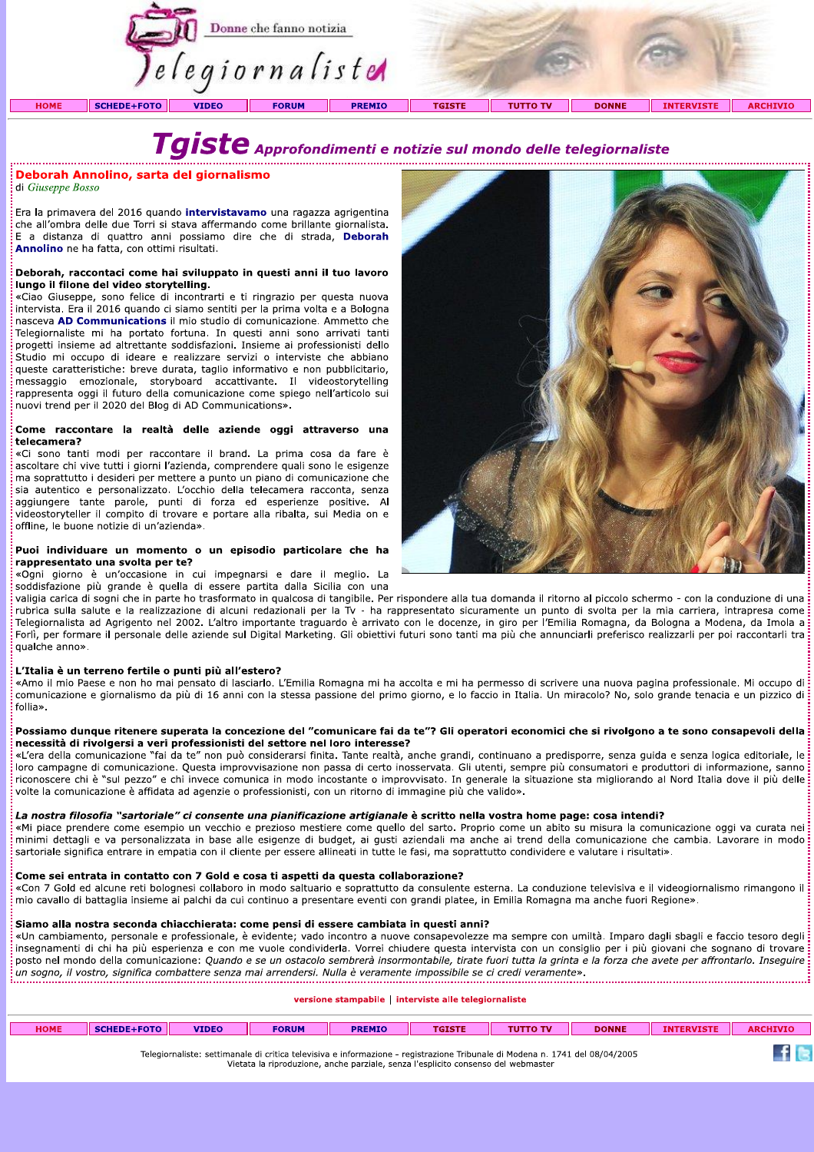

Taiste Approfondimenti e notizie sul mondo delle telegiornaliste

# Deborah Annolino, sarta del giornalismo

di Giuseppe Bosso

Era la primavera del 2016 quando *intervistavamo* una ragazza agrigentina che all'ombra delle due Torri si stava affermando come brillante giornalista. E a distanza di quattro anni possiamo dire che di strada, Deborah Annolino ne ha fatta, con ottimi risultati.

#### Deborah, raccontaci come hai sviluppato in questi anni il tuo lavoro lungo il filone del video storytelling.

«Ciao Giuseppe, sono felice di incontrarti e ti ringrazio per questa nuova intervista. Era il 2016 quando ci siamo sentiti per la prima volta e a Bologna nasceva AD Communications il mio studio di comunicazione. Ammetto che Telegiornaliste mi ha portato fortuna. In questi anni sono arrivati tanti progetti insieme ad altrettante soddisfazioni. Insieme ai professionisti dello Studio mi occupo di ideare e realizzare servizi o interviste che abbiano queste caratteristiche: breve durata, taglio informativo e non pubblicitario, messaggio emozionale, storyboard accattivante. Il videostorytelling rappresenta oggi il futuro della comunicazione come spiego nell'articolo sui nuovi trend per il 2020 del Blog di AD Communications».

### Come raccontare la realtà delle aziende oggi attraverso una telecamera?

«Ci sono tanti modi per raccontare il brand. La prima cosa da fare è ascoltare chi vive tutti i giorni l'azienda, comprendere quali sono le esigenze ma soprattutto i desideri per mettere a punto un piano di comunicazione che sia autentico e personalizzato. L'occhio della telecamera racconta, senza aggiungere tante parole, punti di forza ed esperienze positive. Al videostoryteller il compito di trovare e portare alla ribalta, sui Media on e offline, le buone notizie di un'azienda».

# Puoi individuare un momento o un episodio particolare che ha rappresentato una svolta per te?

«Ogni giorno è un'occasione in cui impegnarsi e dare il meglio. La soddisfazione più grande è quella di essere partita dalla Sicilia con una



valigia carica di sogni che in parte ho trasformato in qualcosa di tangibile. Per rispondere alla tua domanda il ritorno al piccolo schermo - con la conduzione di una rubrica sulla salute e la realizzazione di alcuni redazionali per la Tv - ha rappresentato sicuramente un punto di svolta per la mia carriera, intrapresa come Telegiornalista ad Agrigento nel 2002. L'altro importante traguardo è arrivato con le docenze, in giro per l'Emilia Romagna, da Bologna a Modena, da Imola a Forli, per formare il personale delle aziende sul Digital Marketing. Gli obiettivi futuri sono tanti ma più che annunciarli preferisco realizzarli per poi raccontarli tra qualche anno».

# L'Italia è un terreno fertile o punti più all'estero?

«Amo il mio Paese e non ho mai pensato di lasciarlo. L'Emilia Romagna mi ha accolta e mi ha permesso di scrivere una nuova pagina professionale. Mi occupo di comunicazione e giornalismo da più di 16 anni con la stessa passione del primo giorno, e lo faccio in Italia. Un miracolo? No, solo grande tenacia e un pizzico di follia».

# Possiamo dunque ritenere superata la concezione del "comunicare fai da te"? Gli operatori economici che si rivolgono a te sono consapevoli della necessità di rivolgersi a veri professionisti del settore nel loro interesse?

«L'era della comunicazione "fai da te" non può considerarsi finita. Tante realtà, anche grandi, continuano a predisporre, senza guida e senza logica editoriale, le loro campagne di comunicazione. Questa improvvisazione non passa di certo inosservata. Gli utenti, sempre più consumatori e produttori di informazione, sanno riconoscere chi è "sul pezzo" e chi invece comunica in modo incostante o improvvisato. In generale la situazione sta migliorando al Nord Italia dove il più delle volte la comunicazione è affidata ad agenzie o professionisti, con un ritorno di immagine più che valido».

# La nostra filosofia "sartoriale" ci consente una pianificazione artigianale è scritto nella vostra home page: cosa intendi?

«Mi piace prendere come esempio un vecchio e prezioso mestiere come quello del sarto. Proprio come un abito su misura la comunicazione oggi va curata nei minimi dettagli e va personalizzata in base alle esigenze di budget, ai gusti aziendali ma anche ai trend della comunicazione che cambia. Lavorare in modo: sartoriale significa entrare in empatia con il cliente per essere allineati in tutte le fasi, ma soprattutto condividere e valutare i risultati».

## Come sei entrata in contatto con 7 Gold e cosa ti aspetti da questa collaborazione?

«Con 7 Gold ed alcune reti bolognesi collaboro in modo saltuario e soprattutto da consulente esterna. La conduzione televisiva e il videogiornalismo rimangono il: mio cavallo di battaglia insieme ai palchi da cui continuo a presentare eventi con grandi platee, in Emilia Romagna ma anche fuori Regione».

# Siamo alla nostra seconda chiacchierata: come pensi di essere cambiata in questi anni?

«Un cambiamento, personale e professionale, è evidente; vado incontro a nuove consapevolezze ma sempre con umiltà. Imparo dagli sbagli e faccio tesoro degli insegnamenti di chi ha più esperienza e con me vuole condividerla. Vorrei chiudere questa intervista con un consiglio per i più giovani che sognano di trovare posto nel mondo della comunicazione: Quando e se un ostacolo sembrerà insormontabile, tirate fuori tutta la grinta e la forza che avete per affrontarlo. Insequire: un sogno, il vostro, significa combattere senza mai arrendersi. Nulla è veranente impossibile se ci credi veramente».

# versione stampabile | interviste alle telegiornaliste

| <b>HOME</b> | $FDE + FOTO$ | <b>VIDEO</b>                                   | <b>FORUM</b> | <b>PREMIO</b>    |                                                 | <b>DONNE</b>   | AR(<br>нтутс |
|-------------|--------------|------------------------------------------------|--------------|------------------|-------------------------------------------------|----------------|--------------|
|             |              | Telegiornaliste:<br>: settimanale di critica : | televisiva   | . informazione · | e - registrazione Tribunale di Modena n. 1741 - | del 08/04/2005 |              |

Vietata la riproduzione, anche parziale, senza l'esplicito consenso del webmaster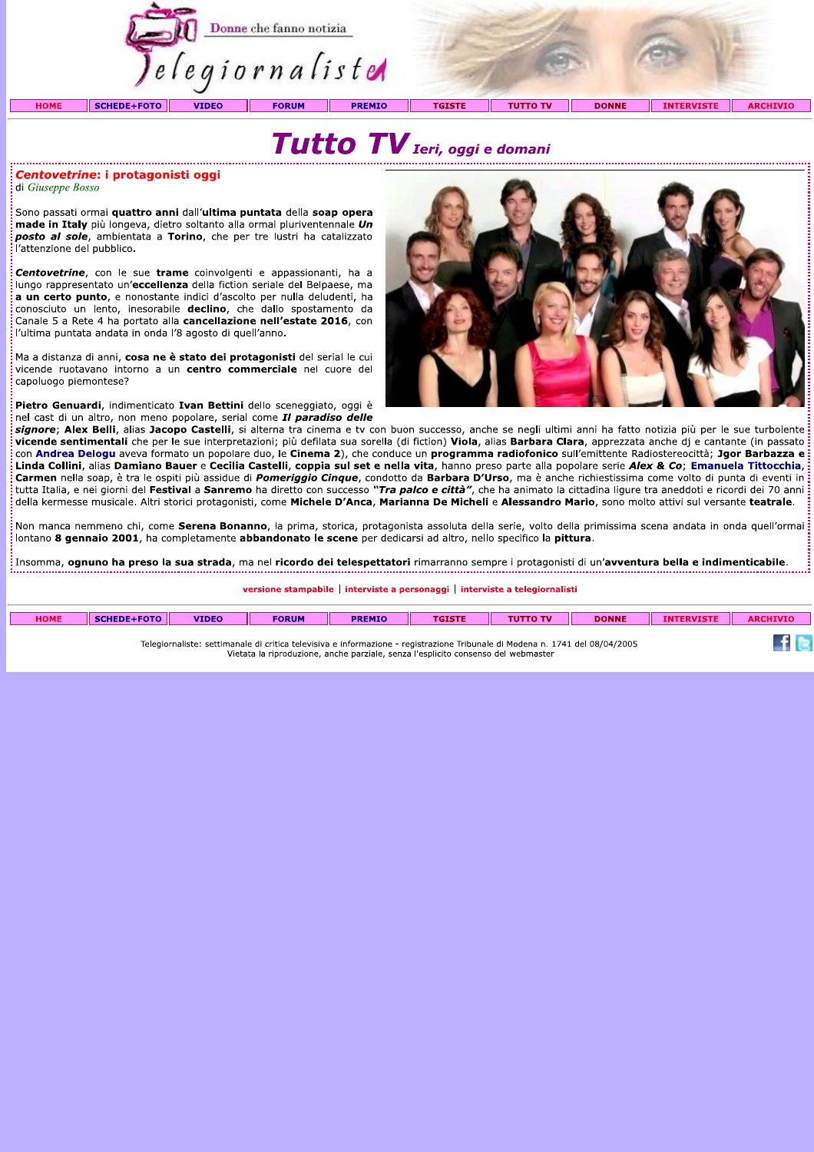

# Tutto TV Ieri, oggi e domani

### Centovetrine: i protagonisti oggi di Giuseppe Bosso

Sono passati ormai quattro anni dall'ultima puntata della soap opera made in Italy più longeva, dietro soltanto alla ormai pluriventennale Un posto al sole, ambientata a Torino, che per tre lustri ha catalizzato l'attenzione del pubblico.

Centovetrine, con le sue trame coinvolgenti e appassionanti, ha a lungo rappresentato un'eccellenza della fiction seriale del Belpaese, ma a un certo punto, e nonostante indici d'ascolto per nulla deludenti, ha conosciuto un lento, inesorabile declino, che dallo spostamento da Canale 5 a Rete 4 ha portato alla cancellazione nell'estate 2016, con l'ultima puntata andata in onda l'8 agosto di quell'anno.

Ma a distanza di anni, cosa ne è stato dei protagonisti del serial le cui vicende ruotavano intorno a un centro commerciale nel cuore del capoluogo piemontese?

Pietro Genuardi, indimenticato Ivan Bettini dello sceneggiato, oggi è nel cast di un altro, non meno popolare, serial come *II paradiso delle* 



signore; Alex Belli, alias Jacopo Castelli, si alterna tra cinema e tv con buon successo, anche se negli ultimi anni ha fatto notizia più per le sue turbolente vicende sentimentali che per le sue interpretazioni; più defilata sua sorella (di fiction) Viola, alias Barbara Clara, apprezzata anche dj e cantante (in passato con Andrea Delogu aveva formato un popolare duo, le Cinema 2), che conduce un programma radiofonico sull'emittente Radiostereocittà; Jgor Barbazza e Linda Collini, alias Damiano Bauer e Cecilia Castelli, coppia sul set e nella vita, hanno preso parte alla popolare serie Alex & Co; Emanuela Tittocchia, Carmen nella soap, è tra le ospiti più assidue di *Pomeriggio Cinque*, condotto da Barbara D'Urso, ma è anche richiestissima come volto di punta di eventi in tutta Italia, e nei giorni del **Festival** a **Sanremo** ha diretto con successo "Tra palco e città", che ha animato la cittadina ligure tra aneddoti e ricordi dei 70 anni della kermesse musicale. Altri storici protagonisti, come Michele D'Anca, Marianna De Micheli e Alessandro Mario, sono molto attivi sul versante teatrale.

Non manca nemmeno chi, come Serena Bonanno, la prima, storica, protagonista assoluta della serie, volto della primissima scena andata in onda quell'ormai : lontano 8 gennaio 2001, ha completamente abbandonato le scene per dedicarsi ad altro, nello specifico la pittura.

:<br>Insomma, **ognuno ha preso la sua strada**, ma nel **ricordo dei telespettatori** rimarranno sempre i protagonisti di un'**avventura bella e indimenticabile**.

versione stampabile | interviste a personaggi | interviste a telegiornalisti

| <b>HOME</b>                                                                                                                                                                                                       | <b>SCHEDE+FOTO</b> | <b>VIDEO</b> | <b>FORUM</b> | <b>PREMIO</b> | <b>TGISTE</b> | <b>TUTTO TV</b> | <b>DONNE</b> | <b>INTERVISTE</b> | <b>ARCHIVIO</b> |
|-------------------------------------------------------------------------------------------------------------------------------------------------------------------------------------------------------------------|--------------------|--------------|--------------|---------------|---------------|-----------------|--------------|-------------------|-----------------|
| Telegiornaliste: settimanale di critica televisiva e informazione - registrazione Tribunale di Modena n. 1741 del 08/04/2005<br>Vietata la riproduzione, anche parziale, senza l'esplicito consenso del webmaster |                    |              |              |               |               |                 |              |                   |                 |